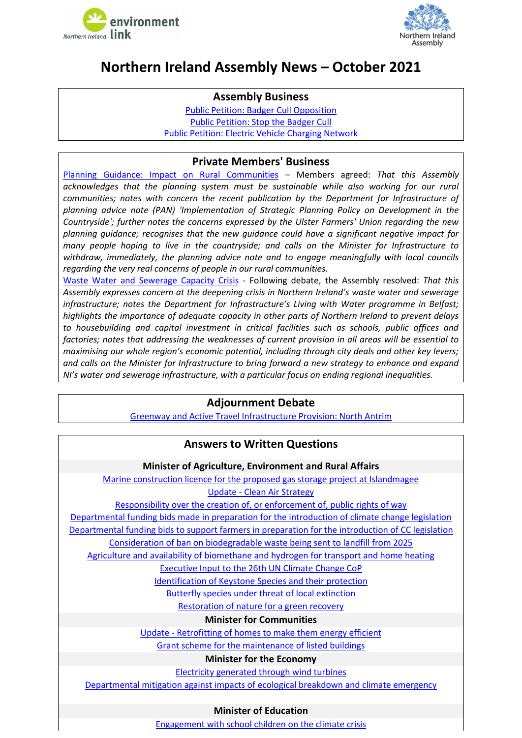



## <span id="page-0-0"></span>**Northern Ireland Assembly News – October 2021**

#### **Assembly Business**

[Public Petition: Badger Cull Opposition](http://aims.niassembly.gov.uk/officialreport/report.aspx?&eveDate=2021/10/04&docID=351844#3647016) [Public Petition: Stop the Badger Cull](http://aims.niassembly.gov.uk/officialreport/report.aspx?&eveDate=2021/10/05&docID=351845#3659268) [Public Petition: Electric Vehicle Charging Network](http://aims.niassembly.gov.uk/officialreport/report.aspx?&eveDate=2021/10/12&docID=352778#3675844)

### **Private Members' Business**

[Planning Guidance: Impact on Rural Communities](http://aims.niassembly.gov.uk/officialreport/report.aspx?&eveDate=2021/10/19&docID=353647#3699173) – Members agreed: *That this Assembly acknowledges that the planning system must be sustainable while also working for our rural communities; notes with concern the recent publication by the Department for Infrastructure of planning advice note (PAN) 'Implementation of Strategic Planning Policy on Development in the Countryside'; further notes the concerns expressed by the Ulster Farmers' Union regarding the new planning guidance; recognises that the new guidance could have a significant negative impact for many people hoping to live in the countryside; and calls on the Minister for Infrastructure to withdraw, immediately, the planning advice note and to engage meaningfully with local councils regarding the very real concerns of people in our rural communities.*

[Waste Water and Sewerage Capacity Crisis](http://aims.niassembly.gov.uk/officialreport/report.aspx?&eveDate=2021/10/05&docID=351845#3660072) - Following debate, the Assembly resolved: *That this Assembly expresses concern at the deepening crisis in Northern Ireland's waste water and sewerage infrastructure; notes the Department for Infrastructure's Living with Water programme in Belfast; highlights the importance of adequate capacity in other parts of Northern Ireland to prevent delays to housebuilding and capital investment in critical facilities such as schools, public offices and factories; notes that addressing the weaknesses of current provision in all areas will be essential to maximising our whole region's economic potential, including through city deals and other key levers; and calls on the Minister for Infrastructure to bring forward a new strategy to enhance and expand NI's water and sewerage infrastructure, with a particular focus on ending regional inequalities.*

## **Adjournment Debate**

[Greenway and Active Travel Infrastructure Provision: North Antrim](http://aims.niassembly.gov.uk/officialreport/report.aspx?&eveDate=2021/10/05&docID=351845#3660278)

## **Answers to Written Questions**

#### **Minister of Agriculture, Environment and Rural Affairs**

[Marine construction licence for the proposed gas storage project at Islandmagee](http://aims.niassembly.gov.uk/questions/printquestionsummary.aspx?docid=354350) Update - [Clean Air Strategy](http://aims.niassembly.gov.uk/questions/printquestionsummary.aspx?docid=354802)

[Responsibility over the creation of, or enforcement of, public rights of way](http://aims.niassembly.gov.uk/questions/printquestionsummary.aspx?docid=352384)

[Departmental funding bids made in preparation for the introduction of climate change legislation](http://aims.niassembly.gov.uk/questions/printquestionsummary.aspx?docid=351108)

[Departmental funding bids to support farmers](http://aims.niassembly.gov.uk/questions/printquestionsummary.aspx?docid=351107) in preparation for the introduction of CC legislation

[Consideration of ban on biodegradable waste being sent to landfill from 2025](http://aims.niassembly.gov.uk/questions/printquestionsummary.aspx?docid=352146)

[Agriculture and availability of biomethane and hydrogen for transport and home heating](http://aims.niassembly.gov.uk/questions/printquestionsummary.aspx?docid=352868)

[Executive Input to the 26th UN Climate Change CoP](http://aims.niassembly.gov.uk/questions/printquestionsummary.aspx?docid=352877)

[Identification of Keystone Species and their protection](http://aims.niassembly.gov.uk/questions/printquestionsummary.aspx?docid=349209)

Butterfly species [under threat of local extinction](http://aims.niassembly.gov.uk/questions/printquestionsummary.aspx?docid=350084)

[Restoration of nature for a green recovery](http://aims.niassembly.gov.uk/questions/printquestionsummary.aspx?docid=349723)

#### **Minister for Communities**

Update - [Retrofitting of homes to make them energy efficient](http://aims.niassembly.gov.uk/questions/printquestionsummary.aspx?docid=354799)

[Grant scheme for the maintenance of listed buildings](http://aims.niassembly.gov.uk/questions/printquestionsummary.aspx?docid=351727)

#### **Minister for the Economy**

[Electricity generated through wind turbines](http://aims.niassembly.gov.uk/questions/printquestionsummary.aspx?docid=353825)

[Departmental mitigation against impacts of ecological breakdown and climate emergency](http://aims.niassembly.gov.uk/questions/printquestionsummary.aspx?docid=349908)

#### **Minister of Education**

Engagement [with school children on the climate crisis](http://aims.niassembly.gov.uk/questions/printquestionsummary.aspx?docid=350398)